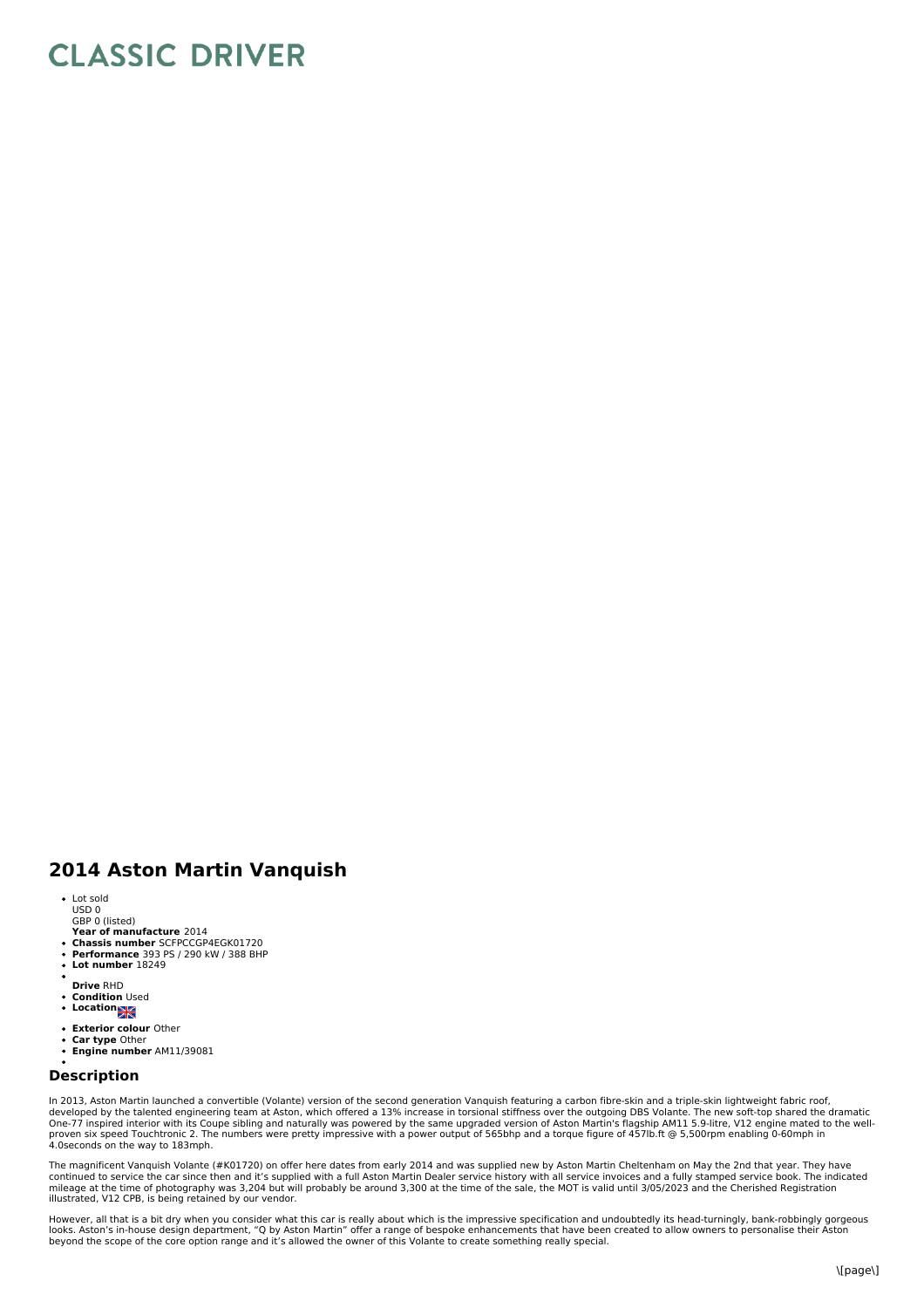## **CLASSIC DRIVER**

## **2014 Aston Martin Vanquish**

- Lot sold USD 0 GBP 0 (listed)
- 
- **Year of manufacture** 2014 **Chassis number** SCFPCCGP4EGK01720 **Performance** 393 PS / 290 kW / 388 BHP
- 
- $\bullet$ **Lot number** 18249
- **Drive** RHD
- $\ddot{\phantom{0}}$ **Condition** Used **Location**
- $\bullet$
- **Exterior colour** Other
- 
- **Car type** Other **Engine number** AM11/39081

## **Description**

In 2013, Aston Martin launched a convertible (Volante) version of the second generation Vanquish featuring a carbon fibre-skin and a triple-skin lightweight fabric roof,<br>developed by the talented engineering team at Aston,

The magnificent Vanquish Volante (#K01720) on offer here dates from early 2014 and was supplied new by Aston Martin Cheltenham on May the 2nd that year. They have<br>mileage at the time of photography was 3,204 but will proba

However, all that is a bit dry when you consider what this car is really about which is the impressive specification and undoubtedly its head-turningly, bank-robbingly gorgeous<br>looks. Aston's in-house design department, "Q